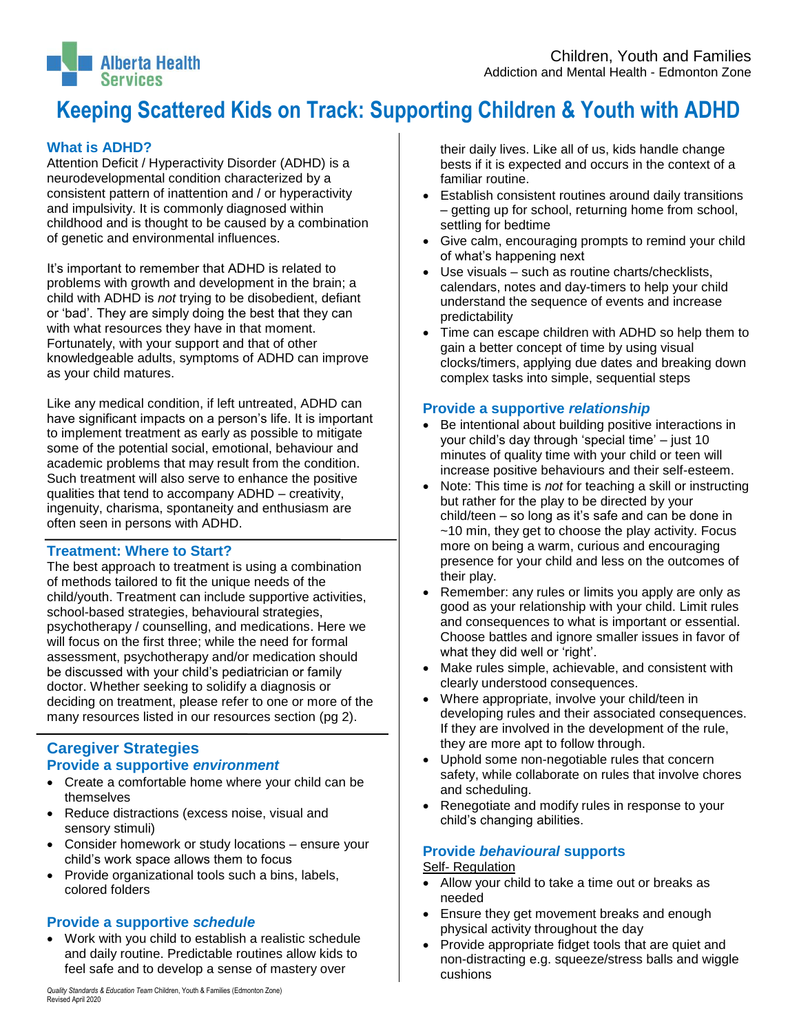#### $\overline{\phantom{a}}$ **Keeping Scattered Kids on Track: Supporting Children & Youth with ADHD**

# **What is ADHD?**

**Alberta Health** 

Attention Deficit / Hyperactivity Disorder (ADHD) is a neurodevelopmental condition characterized by a consistent pattern of inattention and / or hyperactivity and impulsivity. It is commonly diagnosed within childhood and is thought to be caused by a combination of genetic and environmental influences.

It's important to remember that ADHD is related to problems with growth and development in the brain; a child with ADHD is *not* trying to be disobedient, defiant or 'bad'. They are simply doing the best that they can with what resources they have in that moment. Fortunately, with your support and that of other knowledgeable adults, symptoms of ADHD can improve as your child matures.

Like any medical condition, if left untreated, ADHD can have significant impacts on a person's life. It is important to implement treatment as early as possible to mitigate some of the potential social, emotional, behaviour and academic problems that may result from the condition. Such treatment will also serve to enhance the positive qualities that tend to accompany ADHD – creativity, ingenuity, charisma, spontaneity and enthusiasm are often seen in persons with ADHD.

## **Treatment: Where to Start?**

The best approach to treatment is using a combination of methods tailored to fit the unique needs of the child/youth. Treatment can include supportive activities, school-based strategies, behavioural strategies, psychotherapy / counselling, and medications. Here we will focus on the first three; while the need for formal assessment, psychotherapy and/or medication should be discussed with your child's pediatrician or family doctor. Whether seeking to solidify a diagnosis or deciding on treatment, please refer to one or more of the many resources listed in our resources section (pg 2).

## **Caregiver Strategies Provide a supportive** *environment*

- Create a comfortable home where your child can be themselves
- Reduce distractions (excess noise, visual and sensory stimuli)
- Consider homework or study locations ensure your child's work space allows them to focus
- Provide organizational tools such a bins, labels, colored folders

# **Provide a supportive** *schedule*

 Work with you child to establish a realistic schedule and daily routine. Predictable routines allow kids to feel safe and to develop a sense of mastery over

their daily lives. Like all of us, kids handle change bests if it is expected and occurs in the context of a familiar routine.

- Establish consistent routines around daily transitions – getting up for school, returning home from school, settling for bedtime
- Give calm, encouraging prompts to remind your child of what's happening next
- Use visuals such as routine charts/checklists, calendars, notes and day-timers to help your child understand the sequence of events and increase predictability
- Time can escape children with ADHD so help them to gain a better concept of time by using visual clocks/timers, applying due dates and breaking down complex tasks into simple, sequential steps

## **Provide a supportive** *relationship*

- Be intentional about building positive interactions in your child's day through 'special time' – just 10 minutes of quality time with your child or teen will increase positive behaviours and their self-esteem.
- Note: This time is *not* for teaching a skill or instructing but rather for the play to be directed by your child/teen – so long as it's safe and can be done in ~10 min, they get to choose the play activity. Focus more on being a warm, curious and encouraging presence for your child and less on the outcomes of their play.
- Remember: any rules or limits you apply are only as good as your relationship with your child. Limit rules and consequences to what is important or essential. Choose battles and ignore smaller issues in favor of what they did well or 'right'.
- Make rules simple, achievable, and consistent with clearly understood consequences.
- Where appropriate, involve your child/teen in developing rules and their associated consequences. If they are involved in the development of the rule, they are more apt to follow through.
- Uphold some non-negotiable rules that concern safety, while collaborate on rules that involve chores and scheduling.
- Renegotiate and modify rules in response to your child's changing abilities.

## **Provide** *behavioural* **supports**

#### Self- Regulation

- Allow your child to take a time out or breaks as needed
- Ensure they get movement breaks and enough physical activity throughout the day
- Provide appropriate fidget tools that are quiet and non-distracting e.g. squeeze/stress balls and wiggle cushions